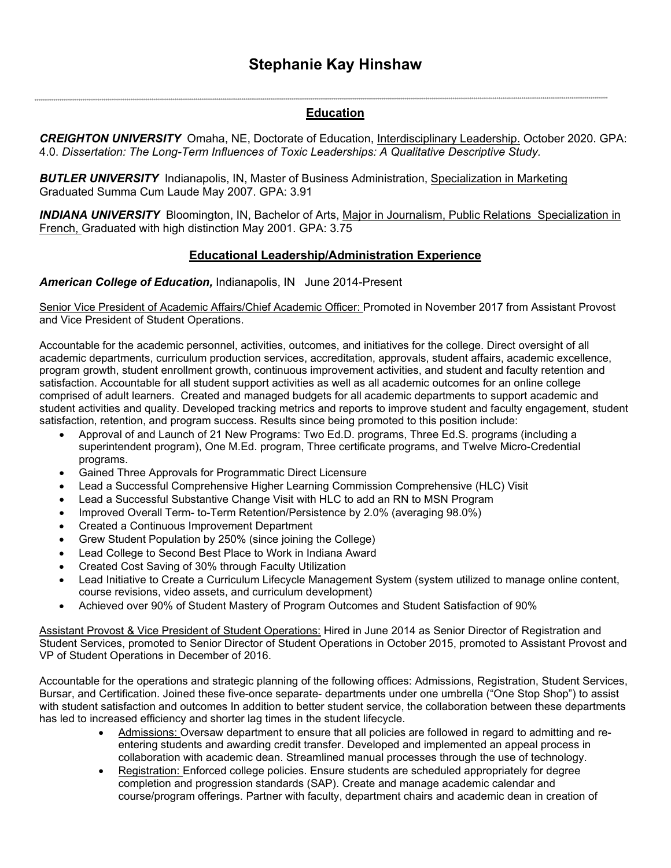# **Stephanie Kay Hinshaw**

# **Education**

*CREIGHTON UNIVERSITY* Omaha, NE, Doctorate of Education, Interdisciplinary Leadership. October 2020. GPA: 4.0. *Dissertation: The Long-Term Influences of Toxic Leaderships: A Qualitative Descriptive Study.*

*BUTLER UNIVERSITY* Indianapolis, IN, Master of Business Administration, Specialization in Marketing Graduated Summa Cum Laude May 2007. GPA: 3.91

*INDIANA UNIVERSITY*Bloomington, IN, Bachelor of Arts, Major in Journalism, Public Relations Specialization in French, Graduated with high distinction May 2001. GPA: 3.75

# **Educational Leadership/Administration Experience**

#### *American College of Education,* Indianapolis, IN June 2014-Present

ia

Senior Vice President of Academic Affairs/Chief Academic Officer: Promoted in November 2017 from Assistant Provost and Vice President of Student Operations.

Accountable for the academic personnel, activities, outcomes, and initiatives for the college. Direct oversight of all academic departments, curriculum production services, accreditation, approvals, student affairs, academic excellence, program growth, student enrollment growth, continuous improvement activities, and student and faculty retention and satisfaction. Accountable for all student support activities as well as all academic outcomes for an online college comprised of adult learners. Created and managed budgets for all academic departments to support academic and student activities and quality. Developed tracking metrics and reports to improve student and faculty engagement, student satisfaction, retention, and program success. Results since being promoted to this position include:

- Approval of and Launch of 21 New Programs: Two Ed.D. programs, Three Ed.S. programs (including a superintendent program), One M.Ed. program, Three certificate programs, and Twelve Micro-Credential programs.
- Gained Three Approvals for Programmatic Direct Licensure
- Lead a Successful Comprehensive Higher Learning Commission Comprehensive (HLC) Visit
- Lead a Successful Substantive Change Visit with HLC to add an RN to MSN Program
- Improved Overall Term- to-Term Retention/Persistence by 2.0% (averaging 98.0%)
- Created a Continuous Improvement Department
- Grew Student Population by 250% (since joining the College)
- Lead College to Second Best Place to Work in Indiana Award
- Created Cost Saving of 30% through Faculty Utilization
- Lead Initiative to Create a Curriculum Lifecycle Management System (system utilized to manage online content, course revisions, video assets, and curriculum development)
- Achieved over 90% of Student Mastery of Program Outcomes and Student Satisfaction of 90%

Assistant Provost & Vice President of Student Operations: Hired in June 2014 as Senior Director of Registration and Student Services, promoted to Senior Director of Student Operations in October 2015, promoted to Assistant Provost and VP of Student Operations in December of 2016.

Accountable for the operations and strategic planning of the following offices: Admissions, Registration, Student Services, Bursar, and Certification. Joined these five-once separate- departments under one umbrella ("One Stop Shop") to assist with student satisfaction and outcomes In addition to better student service, the collaboration between these departments has led to increased efficiency and shorter lag times in the student lifecycle.

- Admissions: Oversaw department to ensure that all policies are followed in regard to admitting and reentering students and awarding credit transfer. Developed and implemented an appeal process in collaboration with academic dean. Streamlined manual processes through the use of technology.
- Registration: Enforced college policies. Ensure students are scheduled appropriately for degree completion and progression standards (SAP). Create and manage academic calendar and course/program offerings. Partner with faculty, department chairs and academic dean in creation of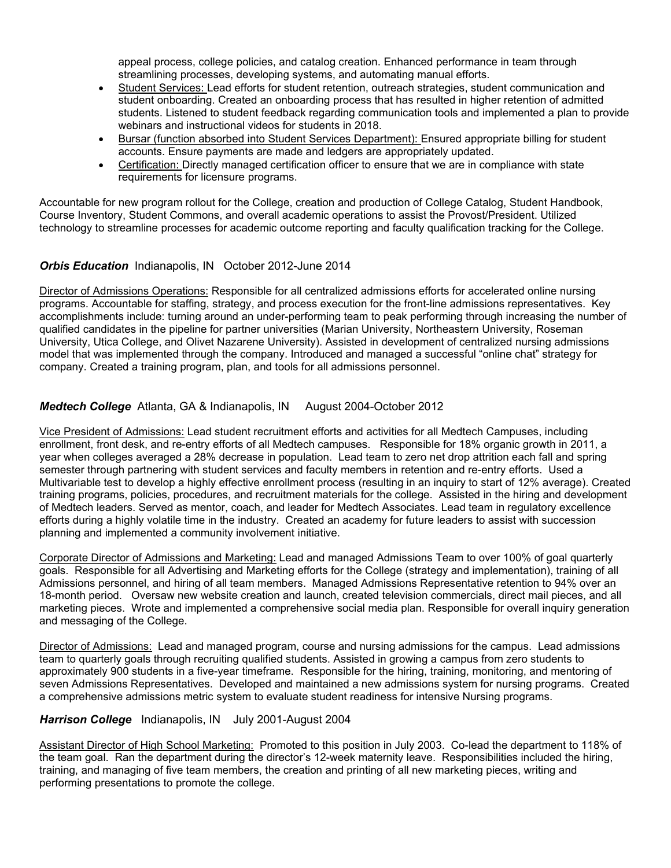appeal process, college policies, and catalog creation. Enhanced performance in team through streamlining processes, developing systems, and automating manual efforts.

- Student Services: Lead efforts for student retention, outreach strategies, student communication and student onboarding. Created an onboarding process that has resulted in higher retention of admitted students. Listened to student feedback regarding communication tools and implemented a plan to provide webinars and instructional videos for students in 2018.
- Bursar (function absorbed into Student Services Department): Ensured appropriate billing for student accounts. Ensure payments are made and ledgers are appropriately updated.
- Certification: Directly managed certification officer to ensure that we are in compliance with state requirements for licensure programs.

Accountable for new program rollout for the College, creation and production of College Catalog, Student Handbook, Course Inventory, Student Commons, and overall academic operations to assist the Provost/President. Utilized technology to streamline processes for academic outcome reporting and faculty qualification tracking for the College.

# *Orbis Education* Indianapolis, IN October 2012-June 2014

Director of Admissions Operations: Responsible for all centralized admissions efforts for accelerated online nursing programs. Accountable for staffing, strategy, and process execution for the front-line admissions representatives. Key accomplishments include: turning around an under-performing team to peak performing through increasing the number of qualified candidates in the pipeline for partner universities (Marian University, Northeastern University, Roseman University, Utica College, and Olivet Nazarene University). Assisted in development of centralized nursing admissions model that was implemented through the company. Introduced and managed a successful "online chat" strategy for company. Created a training program, plan, and tools for all admissions personnel.

# *Medtech College* Atlanta, GA & Indianapolis, IN August 2004-October 2012

Vice President of Admissions: Lead student recruitment efforts and activities for all Medtech Campuses, including enrollment, front desk, and re-entry efforts of all Medtech campuses. Responsible for 18% organic growth in 2011, a year when colleges averaged a 28% decrease in population. Lead team to zero net drop attrition each fall and spring semester through partnering with student services and faculty members in retention and re-entry efforts. Used a Multivariable test to develop a highly effective enrollment process (resulting in an inquiry to start of 12% average). Created training programs, policies, procedures, and recruitment materials for the college. Assisted in the hiring and development of Medtech leaders. Served as mentor, coach, and leader for Medtech Associates. Lead team in regulatory excellence efforts during a highly volatile time in the industry. Created an academy for future leaders to assist with succession planning and implemented a community involvement initiative.

Corporate Director of Admissions and Marketing: Lead and managed Admissions Team to over 100% of goal quarterly goals. Responsible for all Advertising and Marketing efforts for the College (strategy and implementation), training of all Admissions personnel, and hiring of all team members. Managed Admissions Representative retention to 94% over an 18-month period. Oversaw new website creation and launch, created television commercials, direct mail pieces, and all marketing pieces. Wrote and implemented a comprehensive social media plan. Responsible for overall inquiry generation and messaging of the College.

Director of Admissions: Lead and managed program, course and nursing admissions for the campus. Lead admissions team to quarterly goals through recruiting qualified students. Assisted in growing a campus from zero students to approximately 900 students in a five-year timeframe. Responsible for the hiring, training, monitoring, and mentoring of seven Admissions Representatives. Developed and maintained a new admissions system for nursing programs. Created a comprehensive admissions metric system to evaluate student readiness for intensive Nursing programs.

#### *Harrison College* Indianapolis, IN July 2001-August 2004

Assistant Director of High School Marketing: Promoted to this position in July 2003. Co-lead the department to 118% of the team goal. Ran the department during the director's 12-week maternity leave. Responsibilities included the hiring, training, and managing of five team members, the creation and printing of all new marketing pieces, writing and performing presentations to promote the college.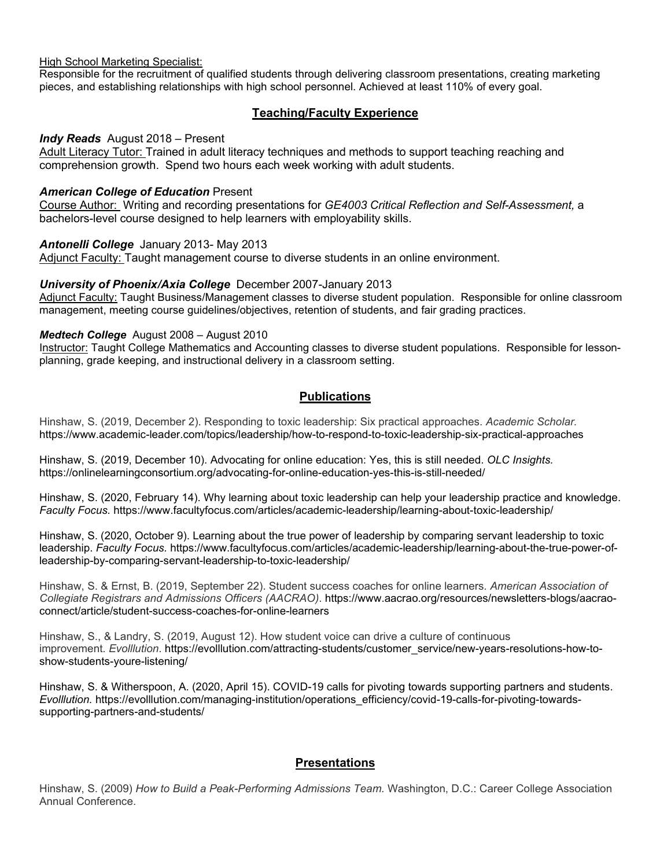High School Marketing Specialist:

Responsible for the recruitment of qualified students through delivering classroom presentations, creating marketing pieces, and establishing relationships with high school personnel. Achieved at least 110% of every goal.

# **Teaching/Faculty Experience**

#### *Indy Reads* August 2018 – Present

Adult Literacy Tutor: Trained in adult literacy techniques and methods to support teaching reaching and comprehension growth. Spend two hours each week working with adult students.

#### *American College of Education* Present

Course Author: Writing and recording presentations for *GE4003 Critical Reflection and Self-Assessment,* a bachelors-level course designed to help learners with employability skills.

#### *Antonelli College* January 2013- May 2013

Adjunct Faculty: Taught management course to diverse students in an online environment.

#### *University of Phoenix/Axia College* December 2007-January 2013

Adjunct Faculty: Taught Business/Management classes to diverse student population. Responsible for online classroom management, meeting course guidelines/objectives, retention of students, and fair grading practices.

#### *Medtech College* August 2008 – August 2010

Instructor: Taught College Mathematics and Accounting classes to diverse student populations. Responsible for lessonplanning, grade keeping, and instructional delivery in a classroom setting.

# **Publications**

Hinshaw, S. (2019, December 2). Responding to toxic leadership: Six practical approaches. *Academic Scholar.*  https://www.academic-leader.com/topics/leadership/how-to-respond-to-toxic-leadership-six-practical-approaches

Hinshaw, S. (2019, December 10). Advocating for online education: Yes, this is still needed. *OLC Insights.*  https://onlinelearningconsortium.org/advocating-for-online-education-yes-this-is-still-needed/

Hinshaw, S. (2020, February 14). Why learning about toxic leadership can help your leadership practice and knowledge. *Faculty Focus.* https://www.facultyfocus.com/articles/academic-leadership/learning-about-toxic-leadership/

Hinshaw, S. (2020, October 9). Learning about the true power of leadership by comparing servant leadership to toxic leadership. *Faculty Focus.* https://www.facultyfocus.com/articles/academic-leadership/learning-about-the-true-power-ofleadership-by-comparing-servant-leadership-to-toxic-leadership/

Hinshaw, S. & Ernst, B. (2019, September 22). Student success coaches for online learners*. American Association of Collegiate Registrars and Admissions Officers (AACRAO)*. https://www.aacrao.org/resources/newsletters-blogs/aacraoconnect/article/student-success-coaches-for-online-learners

Hinshaw, S., & Landry, S. (2019, August 12). How student voice can drive a culture of continuous improvement. *Evolllution*. https://evolllution.com/attracting-students/customer\_service/new-years-resolutions-how-toshow-students-youre-listening/

Hinshaw, S. & Witherspoon, A. (2020, April 15). COVID-19 calls for pivoting towards supporting partners and students. *Evolllution.* https://evolllution.com/managing-institution/operations\_efficiency/covid-19-calls-for-pivoting-towardssupporting-partners-and-students/

# **Presentations**

Hinshaw, S. (2009) *How to Build a Peak-Performing Admissions Team.* Washington, D.C.: Career College Association Annual Conference.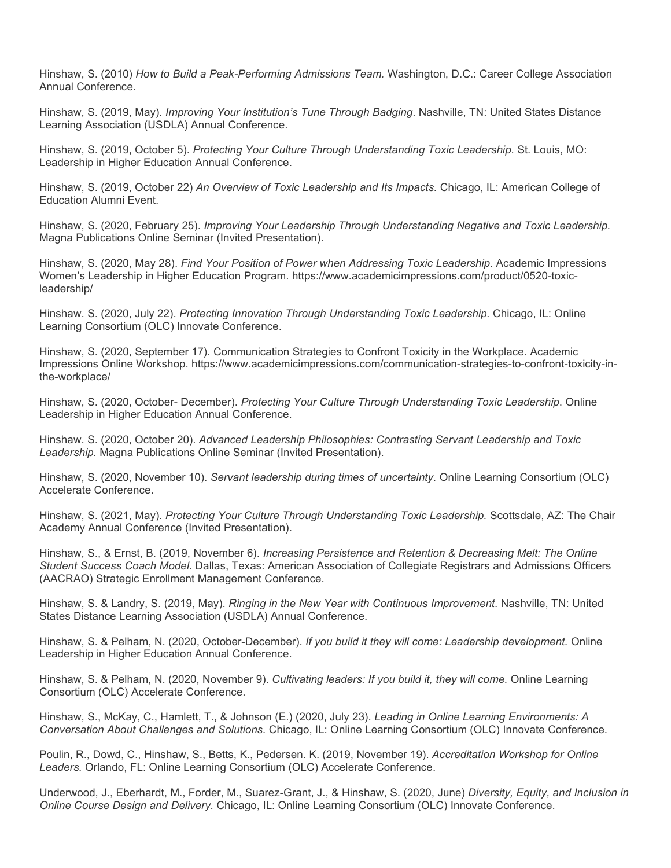Hinshaw, S. (2010) *How to Build a Peak-Performing Admissions Team.* Washington, D.C.: Career College Association Annual Conference.

Hinshaw, S. (2019, May). *Improving Your Institution's Tune Through Badging*. Nashville, TN: United States Distance Learning Association (USDLA) Annual Conference.

Hinshaw, S. (2019, October 5). *Protecting Your Culture Through Understanding Toxic Leadership*. St. Louis, MO: Leadership in Higher Education Annual Conference.

Hinshaw, S. (2019, October 22) *An Overview of Toxic Leadership and Its Impacts.* Chicago, IL: American College of Education Alumni Event.

Hinshaw, S. (2020, February 25). *Improving Your Leadership Through Understanding Negative and Toxic Leadership.* Magna Publications Online Seminar (Invited Presentation).

Hinshaw, S. (2020, May 28). *Find Your Position of Power when Addressing Toxic Leadership.* Academic Impressions Women's Leadership in Higher Education Program. https://www.academicimpressions.com/product/0520-toxicleadership/

Hinshaw. S. (2020, July 22). *Protecting Innovation Through Understanding Toxic Leadership.* Chicago, IL: Online Learning Consortium (OLC) Innovate Conference.

Hinshaw, S. (2020, September 17). Communication Strategies to Confront Toxicity in the Workplace. Academic Impressions Online Workshop. https://www.academicimpressions.com/communication-strategies-to-confront-toxicity-inthe-workplace/

Hinshaw, S. (2020, October- December). *Protecting Your Culture Through Understanding Toxic Leadership*. Online Leadership in Higher Education Annual Conference.

Hinshaw. S. (2020, October 20). *Advanced Leadership Philosophies: Contrasting Servant Leadership and Toxic Leadership.* Magna Publications Online Seminar (Invited Presentation).

Hinshaw, S. (2020, November 10). *Servant leadership during times of uncertainty.* Online Learning Consortium (OLC) Accelerate Conference.

Hinshaw, S. (2021, May). *Protecting Your Culture Through Understanding Toxic Leadership.* Scottsdale, AZ: The Chair Academy Annual Conference (Invited Presentation).

Hinshaw, S., & Ernst, B. (2019, November 6). *Increasing Persistence and Retention & Decreasing Melt: The Online Student Success Coach Model*. Dallas, Texas: American Association of Collegiate Registrars and Admissions Officers (AACRAO) Strategic Enrollment Management Conference.

Hinshaw, S. & Landry, S. (2019, May). *Ringing in the New Year with Continuous Improvement*. Nashville, TN: United States Distance Learning Association (USDLA) Annual Conference.

Hinshaw, S. & Pelham, N. (2020, October-December). *If you build it they will come: Leadership development.* Online Leadership in Higher Education Annual Conference.

Hinshaw, S. & Pelham, N. (2020, November 9). *Cultivating leaders: If you build it, they will come.* Online Learning Consortium (OLC) Accelerate Conference.

Hinshaw, S., McKay, C., Hamlett, T., & Johnson (E.) (2020, July 23). *Leading in Online Learning Environments: A Conversation About Challenges and Solutions.* Chicago, IL: Online Learning Consortium (OLC) Innovate Conference.

Poulin, R., Dowd, C., Hinshaw, S., Betts, K., Pedersen. K. (2019, November 19). *Accreditation Workshop for Online Leaders.* Orlando, FL: Online Learning Consortium (OLC) Accelerate Conference.

Underwood, J., Eberhardt, M., Forder, M., Suarez-Grant, J., & Hinshaw, S. (2020, June) *Diversity, Equity, and Inclusion in Online Course Design and Delivery.* Chicago, IL: Online Learning Consortium (OLC) Innovate Conference.